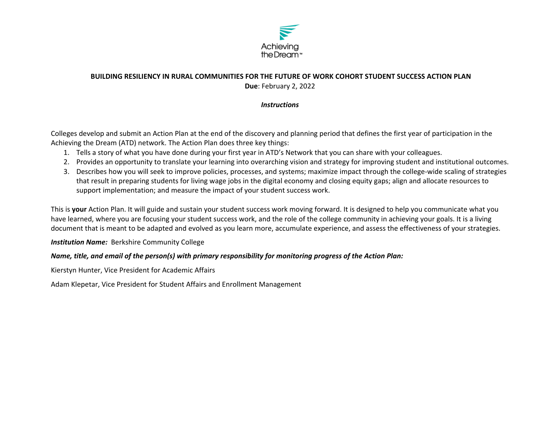

# **BUILDING RESILIENCY IN RURAL COMMUNITIES FOR THE FUTURE OF WORK COHORT STUDENT SUCCESS ACTION PLAN Due**: February 2, 2022

### *Instructions*

Colleges develop and submit an Action Plan at the end of the discovery and planning period that defines the first year of participation in the Achieving the Dream (ATD) network. The Action Plan does three key things:

- 1. Tells a story of what you have done during your first year in ATD's Network that you can share with your colleagues.
- 2. Provides an opportunity to translate your learning into overarching vision and strategy for improving student and institutional outcomes.
- 3. Describes how you will seek to improve policies, processes, and systems; maximize impact through the college‐wide scaling of strategies that result in preparing students for living wage jobs in the digital economy and closing equity gaps; align and allocate resources to support implementation; and measure the impact of your student success work.

This is **your** Action Plan. It will guide and sustain your student success work moving forward. It is designed to help you communicate what you have learned, where you are focusing your student success work, and the role of the college community in achieving your goals. It is a living document that is meant to be adapted and evolved as you learn more, accumulate experience, and assess the effectiveness of your strategies.

## *Institution Name:* Berkshire Community College

## *Name, title, and email of the person(s) with primary responsibility for monitoring progress of the Action Plan:*

Kierstyn Hunter, Vice President for Academic Affairs

Adam Klepetar, Vice President for Student Affairs and Enrollment Management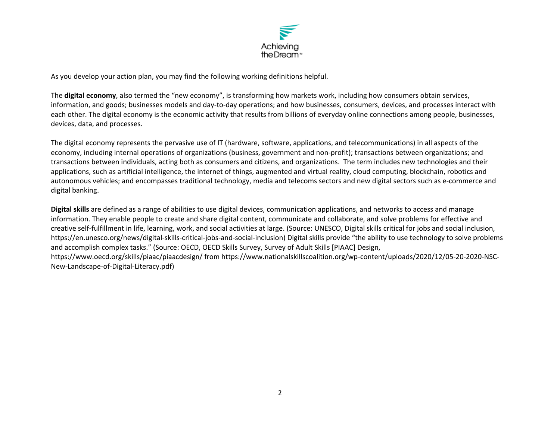

As you develop your action plan, you may find the following working definitions helpful.

The **digital economy**, also termed the "new economy", is transforming how markets work, including how consumers obtain services, information, and goods; businesses models and day‐to‐day operations; and how businesses, consumers, devices, and processes interact with each other. The digital economy is the economic activity that results from billions of everyday online connections among people, businesses, devices, data, and processes.

The digital economy represents the pervasive use of IT (hardware, software, applications, and telecommunications) in all aspects of the economy, including internal operations of organizations (business, government and non-profit); transactions between organizations; and transactions between individuals, acting both as consumers and citizens, and organizations. The term includes new technologies and their applications, such as artificial intelligence, the internet of things, augmented and virtual reality, cloud computing, blockchain, robotics and autonomous vehicles; and encompasses traditional technology, media and telecoms sectors and new digital sectors such as e‐commerce and digital banking.

**Digital skills** are defined as a range of abilities to use digital devices, communication applications, and networks to access and manage information. They enable people to create and share digital content, communicate and collaborate, and solve problems for effective and creative self‐fulfillment in life, learning, work, and social activities at large. (Source: UNESCO, Digital skills critical for jobs and social inclusion, https://en.unesco.org/news/digital‐skills‐critical‐jobs‐and‐social‐inclusion) Digital skills provide "the ability to use technology to solve problems and accomplish complex tasks." (Source: OECD, OECD Skills Survey, Survey of Adult Skills [PIAAC] Design, https://www.oecd.org/skills/piaac/piaacdesign/ from https://www.nationalskillscoalition.org/wp‐content/uploads/2020/12/05‐20‐2020‐NSC‐ New‐Landscape‐of‐Digital‐Literacy.pdf)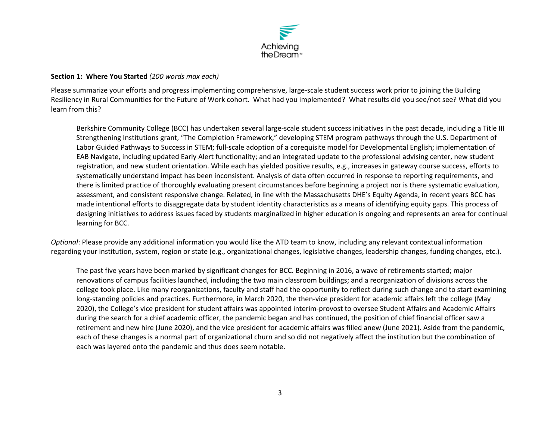

#### **Section 1: Where You Started** *(200 words max each)*

Please summarize your efforts and progress implementing comprehensive, large‐scale student success work prior to joining the Building Resiliency in Rural Communities for the Future of Work cohort. What had you implemented? What results did you see/not see? What did you learn from this?

Berkshire Community College (BCC) has undertaken several large‐scale student success initiatives in the past decade, including a Title III Strengthening Institutions grant, "The Completion Framework," developing STEM program pathways through the U.S. Department of Labor Guided Pathways to Success in STEM; full‐scale adoption of a corequisite model for Developmental English; implementation of EAB Navigate, including updated Early Alert functionality; and an integrated update to the professional advising center, new student registration, and new student orientation. While each has yielded positive results, e.g., increases in gateway course success, efforts to systematically understand impact has been inconsistent. Analysis of data often occurred in response to reporting requirements, and there is limited practice of thoroughly evaluating present circumstances before beginning a project nor is there systematic evaluation, assessment, and consistent responsive change. Related, in line with the Massachusetts DHE's Equity Agenda, in recent years BCC has made intentional efforts to disaggregate data by student identity characteristics as a means of identifying equity gaps. This process of designing initiatives to address issues faced by students marginalized in higher education is ongoing and represents an area for continual learning for BCC.

*Optional*: Please provide any additional information you would like the ATD team to know, including any relevant contextual information regarding your institution, system, region or state (e.g., organizational changes, legislative changes, leadership changes, funding changes, etc.).

The past five years have been marked by significant changes for BCC. Beginning in 2016, a wave of retirements started; major renovations of campus facilities launched, including the two main classroom buildings; and a reorganization of divisions across the college took place. Like many reorganizations, faculty and staff had the opportunity to reflect during such change and to start examining long-standing policies and practices. Furthermore, in March 2020, the then-vice president for academic affairs left the college (May 2020), the College's vice president for student affairs was appointed interim‐provost to oversee Student Affairs and Academic Affairs during the search for a chief academic officer, the pandemic began and has continued, the position of chief financial officer saw a retirement and new hire (June 2020), and the vice president for academic affairs was filled anew (June 2021). Aside from the pandemic, each of these changes is a normal part of organizational churn and so did not negatively affect the institution but the combination of each was layered onto the pandemic and thus does seem notable.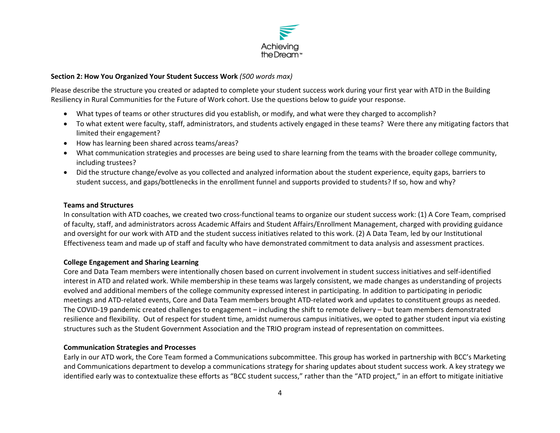

#### **Section 2: How You Organized Your Student Success Work** *(500 words max)*

Please describe the structure you created or adapted to complete your student success work during your first year with ATD in the Building Resiliency in Rural Communities for the Future of Work cohort. Use the questions below to *guide* your response.

- What types of teams or other structures did you establish, or modify, and what were they charged to accomplish?
- To what extent were faculty, staff, administrators, and students actively engaged in these teams? Were there any mitigating factors that limited their engagement?
- How has learning been shared across teams/areas?
- What communication strategies and processes are being used to share learning from the teams with the broader college community, including trustees?
- Did the structure change/evolve as you collected and analyzed information about the student experience, equity gaps, barriers to student success, and gaps/bottlenecks in the enrollment funnel and supports provided to students? If so, how and why?

#### **Teams and Structures**

In consultation with ATD coaches, we created two cross-functional teams to organize our student success work: (1) A Core Team, comprised of faculty, staff, and administrators across Academic Affairs and Student Affairs/Enrollment Management, charged with providing guidance and oversight for our work with ATD and the student success initiatives related to this work. (2) A Data Team, led by our Institutional Effectiveness team and made up of staff and faculty who have demonstrated commitment to data analysis and assessment practices.

## **College Engagement and Sharing Learning**

Core and Data Team members were intentionally chosen based on current involvement in student success initiatives and self‐identified interest in ATD and related work. While membership in these teams was largely consistent, we made changes as understanding of projects evolved and additional members of the college community expressed interest in participating. In addition to participating in periodic meetings and ATD‐related events, Core and Data Team members brought ATD‐related work and updates to constituent groups as needed. The COVID‐19 pandemic created challenges to engagement – including the shift to remote delivery – but team members demonstrated resilience and flexibility. Out of respect for student time, amidst numerous campus initiatives, we opted to gather student input via existing structures such as the Student Government Association and the TRIO program instead of representation on committees.

## **Communication Strategies and Processes**

Early in our ATD work, the Core Team formed a Communications subcommittee. This group has worked in partnership with BCC's Marketing and Communications department to develop a communications strategy for sharing updates about student success work. A key strategy we identified early was to contextualize these efforts as "BCC student success," rather than the "ATD project," in an effort to mitigate initiative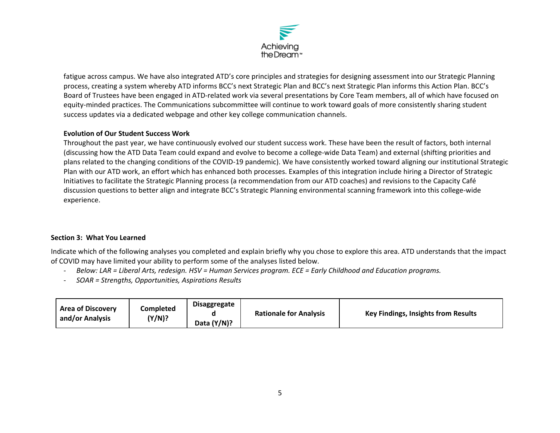

fatigue across campus. We have also integrated ATD's core principles and strategies for designing assessment into our Strategic Planning process, creating a system whereby ATD informs BCC's next Strategic Plan and BCC's next Strategic Plan informs this Action Plan. BCC's Board of Trustees have been engaged in ATD‐related work via several presentations by Core Team members, all of which have focused on equity‐minded practices. The Communications subcommittee will continue to work toward goals of more consistently sharing student success updates via a dedicated webpage and other key college communication channels.

## **Evolution of Our Student Success Work**

Throughout the past year, we have continuously evolved our student success work. These have been the result of factors, both internal (discussing how the ATD Data Team could expand and evolve to become a college‐wide Data Team) and external (shifting priorities and plans related to the changing conditions of the COVID‐19 pandemic). We have consistently worked toward aligning our institutional Strategic Plan with our ATD work, an effort which has enhanced both processes. Examples of this integration include hiring a Director of Strategic Initiatives to facilitate the Strategic Planning process (a recommendation from our ATD coaches) and revisions to the Capacity Café discussion questions to better align and integrate BCC's Strategic Planning environmental scanning framework into this college‐wide experience.

## **Section 3: What You Learned**

Indicate which of the following analyses you completed and explain briefly why you chose to explore this area. ATD understands that the impact of COVID may have limited your ability to perform some of the analyses listed below.

- ‐ *Below: LAR = Liberal Arts, redesign. HSV = Human Services program. ECE = Early Childhood and Education programs.*
- $\blacksquare$ *SOAR = Strengths, Opportunities, Aspirations Results*

| <b>Area of Discovery</b><br>and/or Analysis | Completed<br>(Y/N)? | <b>Disaggregate</b><br>Data (Y/N)? | <b>Rationale for Analysis</b> | <b>Key Findings, Insights from Results</b> |
|---------------------------------------------|---------------------|------------------------------------|-------------------------------|--------------------------------------------|
|---------------------------------------------|---------------------|------------------------------------|-------------------------------|--------------------------------------------|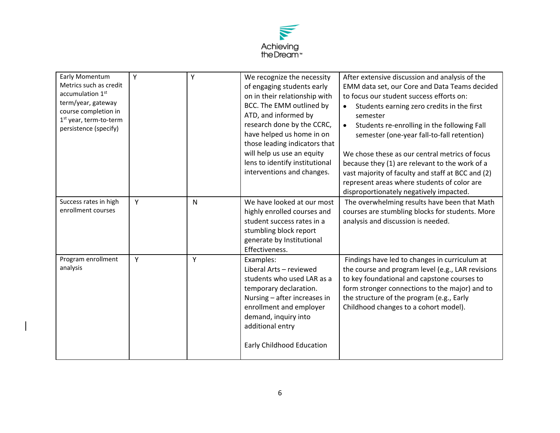

| Early Momentum<br>Metrics such as credit<br>accumulation 1 <sup>st</sup><br>term/year, gateway<br>course completion in<br>1 <sup>st</sup> year, term-to-term<br>persistence (specify) | Υ | Y | We recognize the necessity<br>of engaging students early<br>on in their relationship with<br>BCC. The EMM outlined by<br>ATD, and informed by<br>research done by the CCRC,<br>have helped us home in on<br>those leading indicators that<br>will help us use an equity<br>lens to identify institutional<br>interventions and changes. | After extensive discussion and analysis of the<br>EMM data set, our Core and Data Teams decided<br>to focus our student success efforts on:<br>Students earning zero credits in the first<br>$\bullet$<br>semester<br>Students re-enrolling in the following Fall<br>$\bullet$<br>semester (one-year fall-to-fall retention)<br>We chose these as our central metrics of focus<br>because they (1) are relevant to the work of a<br>vast majority of faculty and staff at BCC and (2)<br>represent areas where students of color are<br>disproportionately negatively impacted. |
|---------------------------------------------------------------------------------------------------------------------------------------------------------------------------------------|---|---|-----------------------------------------------------------------------------------------------------------------------------------------------------------------------------------------------------------------------------------------------------------------------------------------------------------------------------------------|---------------------------------------------------------------------------------------------------------------------------------------------------------------------------------------------------------------------------------------------------------------------------------------------------------------------------------------------------------------------------------------------------------------------------------------------------------------------------------------------------------------------------------------------------------------------------------|
| Success rates in high<br>enrollment courses                                                                                                                                           | Y | N | We have looked at our most<br>highly enrolled courses and<br>student success rates in a<br>stumbling block report<br>generate by Institutional<br>Effectiveness.                                                                                                                                                                        | The overwhelming results have been that Math<br>courses are stumbling blocks for students. More<br>analysis and discussion is needed.                                                                                                                                                                                                                                                                                                                                                                                                                                           |
| Program enrollment<br>analysis                                                                                                                                                        | Y | Y | Examples:<br>Liberal Arts - reviewed<br>students who used LAR as a<br>temporary declaration.<br>Nursing - after increases in<br>enrollment and employer<br>demand, inquiry into<br>additional entry<br>Early Childhood Education                                                                                                        | Findings have led to changes in curriculum at<br>the course and program level (e.g., LAR revisions<br>to key foundational and capstone courses to<br>form stronger connections to the major) and to<br>the structure of the program (e.g., Early<br>Childhood changes to a cohort model).                                                                                                                                                                                                                                                                                       |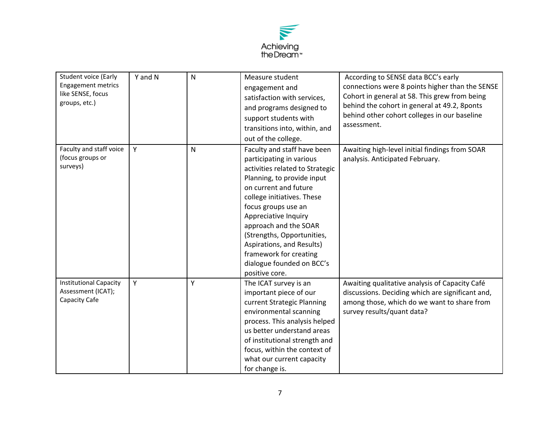

| <b>Student voice (Early</b><br><b>Engagement metrics</b><br>like SENSE, focus<br>groups, etc.) | Y and N | $\mathsf{N}$ | Measure student<br>engagement and<br>satisfaction with services,<br>and programs designed to<br>support students with<br>transitions into, within, and<br>out of the college.                                                                                                                                                                                                               | According to SENSE data BCC's early<br>connections were 8 points higher than the SENSE<br>Cohort in general at 58. This grew from being<br>behind the cohort in general at 49.2, 8ponts<br>behind other cohort colleges in our baseline<br>assessment. |
|------------------------------------------------------------------------------------------------|---------|--------------|---------------------------------------------------------------------------------------------------------------------------------------------------------------------------------------------------------------------------------------------------------------------------------------------------------------------------------------------------------------------------------------------|--------------------------------------------------------------------------------------------------------------------------------------------------------------------------------------------------------------------------------------------------------|
| Faculty and staff voice<br>(focus groups or<br>surveys)                                        | Y       | $\mathsf{N}$ | Faculty and staff have been<br>participating in various<br>activities related to Strategic<br>Planning, to provide input<br>on current and future<br>college initiatives. These<br>focus groups use an<br>Appreciative Inquiry<br>approach and the SOAR<br>(Strengths, Opportunities,<br>Aspirations, and Results)<br>framework for creating<br>dialogue founded on BCC's<br>positive core. | Awaiting high-level initial findings from SOAR<br>analysis. Anticipated February.                                                                                                                                                                      |
| <b>Institutional Capacity</b><br>Assessment (ICAT);<br>Capacity Cafe                           | Y       | Y            | The ICAT survey is an<br>important piece of our<br>current Strategic Planning<br>environmental scanning<br>process. This analysis helped<br>us better understand areas<br>of institutional strength and<br>focus, within the context of<br>what our current capacity<br>for change is.                                                                                                      | Awaiting qualitative analysis of Capacity Café<br>discussions. Deciding which are significant and,<br>among those, which do we want to share from<br>survey results/quant data?                                                                        |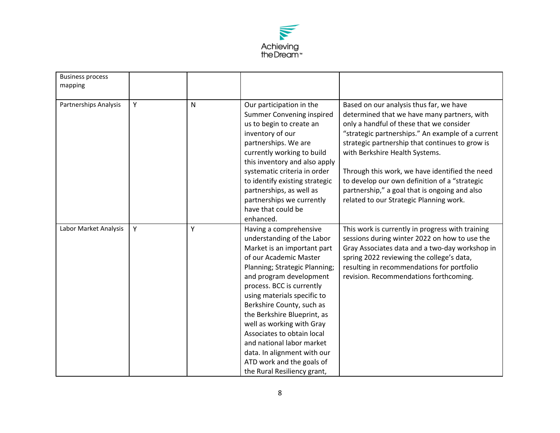

| <b>Business process</b><br>mapping |   |   |                                                                                                                                                                                                                                                                                                                                                                                                                                                                                      |                                                                                                                                                                                                                                                                                                                                                                                                                                                                             |
|------------------------------------|---|---|--------------------------------------------------------------------------------------------------------------------------------------------------------------------------------------------------------------------------------------------------------------------------------------------------------------------------------------------------------------------------------------------------------------------------------------------------------------------------------------|-----------------------------------------------------------------------------------------------------------------------------------------------------------------------------------------------------------------------------------------------------------------------------------------------------------------------------------------------------------------------------------------------------------------------------------------------------------------------------|
| Partnerships Analysis              | Y | N | Our participation in the<br>Summer Convening inspired<br>us to begin to create an<br>inventory of our<br>partnerships. We are<br>currently working to build<br>this inventory and also apply<br>systematic criteria in order<br>to identify existing strategic<br>partnerships, as well as<br>partnerships we currently<br>have that could be<br>enhanced.                                                                                                                           | Based on our analysis thus far, we have<br>determined that we have many partners, with<br>only a handful of these that we consider<br>"strategic partnerships." An example of a current<br>strategic partnership that continues to grow is<br>with Berkshire Health Systems.<br>Through this work, we have identified the need<br>to develop our own definition of a "strategic<br>partnership," a goal that is ongoing and also<br>related to our Strategic Planning work. |
| Labor Market Analysis              | Y | Y | Having a comprehensive<br>understanding of the Labor<br>Market is an important part<br>of our Academic Master<br>Planning; Strategic Planning;<br>and program development<br>process. BCC is currently<br>using materials specific to<br>Berkshire County, such as<br>the Berkshire Blueprint, as<br>well as working with Gray<br>Associates to obtain local<br>and national labor market<br>data. In alignment with our<br>ATD work and the goals of<br>the Rural Resiliency grant, | This work is currently in progress with training<br>sessions during winter 2022 on how to use the<br>Gray Associates data and a two-day workshop in<br>spring 2022 reviewing the college's data,<br>resulting in recommendations for portfolio<br>revision. Recommendations forthcoming.                                                                                                                                                                                    |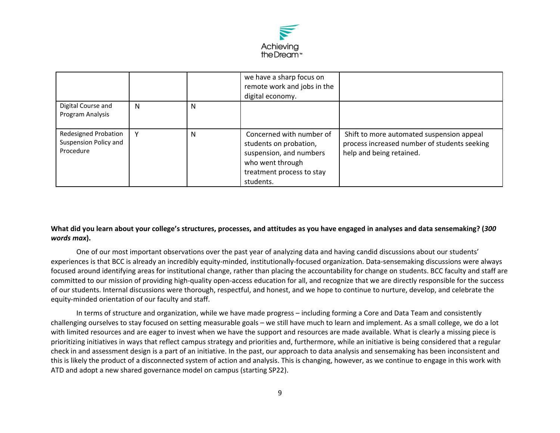

|                                                                   |   |   | we have a sharp focus on<br>remote work and jobs in the<br>digital economy.                                                                 |                                                                                                                       |
|-------------------------------------------------------------------|---|---|---------------------------------------------------------------------------------------------------------------------------------------------|-----------------------------------------------------------------------------------------------------------------------|
| Digital Course and<br>Program Analysis                            | N | N |                                                                                                                                             |                                                                                                                       |
| <b>Redesigned Probation</b><br>Suspension Policy and<br>Procedure | v | N | Concerned with number of<br>students on probation,<br>suspension, and numbers<br>who went through<br>treatment process to stay<br>students. | Shift to more automated suspension appeal<br>process increased number of students seeking<br>help and being retained. |

## **What did you learn about your college's structures, processes, and attitudes as you have engaged in analyses and data sensemaking? (***300 words max***).**

One of our most important observations over the past year of analyzing data and having candid discussions about our students' experiences is that BCC is already an incredibly equity‐minded, institutionally‐focused organization. Data‐sensemaking discussions were always focused around identifying areas for institutional change, rather than placing the accountability for change on students. BCC faculty and staff are committed to our mission of providing high‐quality open‐access education for all, and recognize that we are directly responsible for the success of our students. Internal discussions were thorough, respectful, and honest, and we hope to continue to nurture, develop, and celebrate the equity‐minded orientation of our faculty and staff.

In terms of structure and organization, while we have made progress – including forming a Core and Data Team and consistently challenging ourselves to stay focused on setting measurable goals – we still have much to learn and implement. As a small college, we do a lot with limited resources and are eager to invest when we have the support and resources are made available. What is clearly a missing piece is prioritizing initiatives in ways that reflect campus strategy and priorities and, furthermore, while an initiative is being considered that a regular check in and assessment design is a part of an initiative. In the past, our approach to data analysis and sensemaking has been inconsistent and this is likely the product of a disconnected system of action and analysis. This is changing, however, as we continue to engage in this work with ATD and adopt a new shared governance model on campus (starting SP22).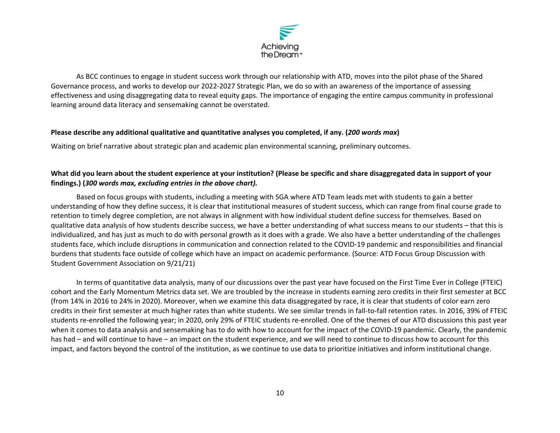

As BCC continues to engage in student success work through our relationship with ATD, moves into the pilot phase of the Shared Governance process, and works to develop our 2022‐2027 Strategic Plan, we do so with an awareness of the importance of assessing effectiveness and using disaggregating data to reveal equity gaps. The importance of engaging the entire campus community in professional learning around data literacy and sensemaking cannot be overstated.

#### **Please describe any additional qualitative and quantitative analyses you completed, if any. (***200 words max***)**

Waiting on brief narrative about strategic plan and academic plan environmental scanning, preliminary outcomes.

## **What did you learn about the student experience at your institution? (Please be specific and share disaggregated data in support of your findings.) (***300 words max, excluding entries in the above chart).*

Based on focus groups with students, including a meeting with SGA where ATD Team leads met with students to gain a better understanding of how they define success, it is clear that institutional measures of student success, which can range from final course grade to retention to timely degree completion, are not always in alignment with how individual student define success for themselves. Based on qualitative data analysis of how students describe success, we have a better understanding of what success means to our students – that this is individualized, and has just as much to do with personal growth as it does with a grade. We also have a better understanding of the challenges students face, which include disruptions in communication and connection related to the COVID‐19 pandemic and responsibilities and financial burdens that students face outside of college which have an impact on academic performance. (Source: ATD Focus Group Discussion with Student Government Association on 9/21/21)

In terms of quantitative data analysis, many of our discussions over the past year have focused on the First Time Ever in College (FTEIC) cohort and the Early Momentum Metrics data set. We are troubled by the increase in students earning zero credits in their first semester at BCC (from 14% in 2016 to 24% in 2020). Moreover, when we examine this data disaggregated by race, it is clear that students of color earn zero credits in their first semester at much higher rates than white students. We see similar trends in fall‐to‐fall retention rates. In 2016, 39% of FTEIC students re‐enrolled the following year; in 2020, only 29% of FTEIC students re‐enrolled. One of the themes of our ATD discussions this past year when it comes to data analysis and sensemaking has to do with how to account for the impact of the COVID-19 pandemic. Clearly, the pandemic has had – and will continue to have – an impact on the student experience, and we will need to continue to discuss how to account for this impact, and factors beyond the control of the institution, as we continue to use data to prioritize initiatives and inform institutional change.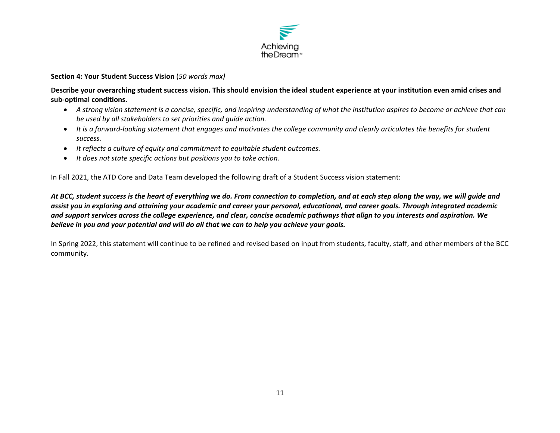

**Section 4: Your Student Success Vision** (*50 words max)* 

**Describe your overarching student success vision. This should envision the ideal student experience at your institution even amid crises and sub‐optimal conditions.**

- *A strong vision statement is a concise, specific, and inspiring understanding of what the institution aspires to become or achieve that can be used by all stakeholders to set priorities and guide action.*
- It is a forward-looking statement that engages and motivates the college community and clearly articulates the benefits for student *success.*
- *It reflects a culture of equity and commitment to equitable student outcomes.*
- *It does not state specific actions but positions you to take action.*

In Fall 2021, the ATD Core and Data Team developed the following draft of a Student Success vision statement:

*At BCC, student success is the heart of everything we do. From connection to completion, and at each step along the way, we will guide and assist you in exploring and attaining your academic and career your personal, educational, and career goals. Through integrated academic and support services across the college experience, and clear, concise academic pathways that align to you interests and aspiration. We believe in you and your potential and will do all that we can to help you achieve your goals.* 

In Spring 2022, this statement will continue to be refined and revised based on input from students, faculty, staff, and other members of the BCC community.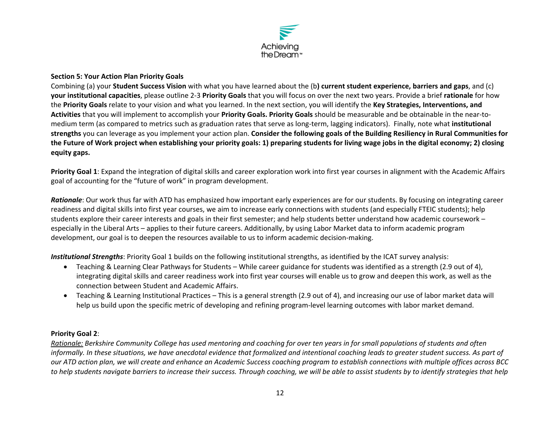

#### **Section 5: Your Action Plan Priority Goals**

Combining (a) your **Student Success Vision** with what you have learned about the (b**) current student experience, barriers and gaps**, and (c) **your institutional capacities**, please outline 2‐3 **Priority Goals** that you will focus on over the next two years. Provide a brief **rationale** for how the **Priority Goals** relate to your vision and what you learned. In the next section, you will identify the **Key Strategies, Interventions, and Activities** that you will implement to accomplish your **Priority Goals. Priority Goals** should be measurable and be obtainable in the near‐to‐ medium term (as compared to metrics such as graduation rates that serve as long‐term, lagging indicators). Finally, note what **institutional strengths** you can leverage as you implement your action plan. **Consider the following goals of the Building Resiliency in Rural Communities for the Future of Work project when establishing your priority goals: 1) preparing students for living wage jobs in the digital economy; 2) closing equity gaps.** 

**Priority Goal 1**: Expand the integration of digital skills and career exploration work into first year courses in alignment with the Academic Affairs goal of accounting for the "future of work" in program development.

*Rationale*: Our work thus far with ATD has emphasized how important early experiences are for our students. By focusing on integrating career readiness and digital skills into first year courses, we aim to increase early connections with students (and especially FTEIC students); help students explore their career interests and goals in their first semester; and help students better understand how academic coursework – especially in the Liberal Arts – applies to their future careers. Additionally, by using Labor Market data to inform academic program development, our goal is to deepen the resources available to us to inform academic decision‐making.

*Institutional Strengths*: Priority Goal 1 builds on the following institutional strengths, as identified by the ICAT survey analysis:

- Teaching & Learning Clear Pathways for Students While career guidance for students was identified as a strength (2.9 out of 4), integrating digital skills and career readiness work into first year courses will enable us to grow and deepen this work, as well as the connection between Student and Academic Affairs.
- Teaching & Learning Institutional Practices This is a general strength (2.9 out of 4), and increasing our use of labor market data will help us build upon the specific metric of developing and refining program-level learning outcomes with labor market demand.

## **Priority Goal 2**:

*Rationale: Berkshire Community College has used mentoring and coaching for over ten years in for small populations of students and often informally. In these situations, we have anecdotal evidence that formalized and intentional coaching leads to greater student success. As part of our ATD action plan, we will create and enhance an Academic Success coaching program to establish connections with multiple offices across BCC to help students navigate barriers to increase their success. Through coaching, we will be able to assist students by to identify strategies that help*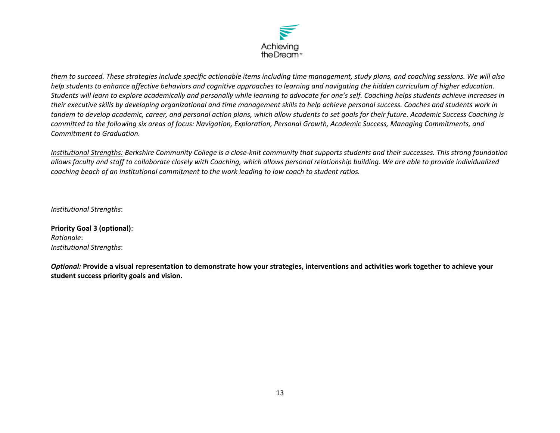

*them to succeed. These strategies include specific actionable items including time management, study plans, and coaching sessions. We will also help students to enhance affective behaviors and cognitive approaches to learning and navigating the hidden curriculum of higher education. Students will learn to explore academically and personally while learning to advocate for one's self. Coaching helps students achieve increases in their executive skills by developing organizational and time management skills to help achieve personal success. Coaches and students work in tandem to develop academic, career, and personal action plans, which allow students to set goals for their future. Academic Success Coaching is committed to the following six areas of focus: Navigation, Exploration, Personal Growth, Academic Success, Managing Commitments, and Commitment to Graduation.* 

*Institutional Strengths: Berkshire Community College is a close‐knit community that supports students and their successes. This strong foundation allows faculty and staff to collaborate closely with Coaching, which allows personal relationship building. We are able to provide individualized coaching beach of an institutional commitment to the work leading to low coach to student ratios.* 

*Institutional Strengths*:

**Priority Goal 3 (optional)**: *Rationale*: *Institutional Strengths*:

*Optional:* **Provide a visual representation to demonstrate how your strategies, interventions and activities work together to achieve your student success priority goals and vision.**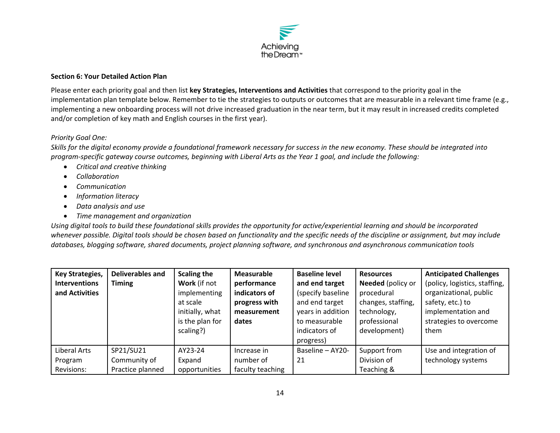

#### **Section 6: Your Detailed Action Plan**

Please enter each priority goal and then list **key Strategies, Interventions and Activities** that correspond to the priority goal in the implementation plan template below. Remember to tie the strategies to outputs or outcomes that are measurable in a relevant time frame (e.g., implementing a new onboarding process will not drive increased graduation in the near term, but it may result in increased credits completed and/or completion of key math and English courses in the first year).

## *Priority Goal One:*

*Skills for the digital economy provide a foundational framework necessary for success in the new economy. These should be integrated into program‐specific gateway course outcomes, beginning with Liberal Arts as the Year 1 goal, and include the following:* 

- *Critical and creative thinking*
- *Collaboration*
- *Communication*
- *Information literacy*
- *Data analysis and use*
- *Time management and organization*

*Using digital tools to build these foundational skills provides the opportunity for active/experiential learning and should be incorporated whenever possible. Digital tools should be chosen based on functionality and the specific needs of the discipline or assignment, but may include databases, blogging software, shared documents, project planning software, and synchronous and asynchronous communication tools* 

| <b>Key Strategies,</b> | <b>Deliverables and</b> | <b>Scaling the</b> | Measurable       | <b>Baseline level</b> | <b>Resources</b>   | <b>Anticipated Challenges</b> |
|------------------------|-------------------------|--------------------|------------------|-----------------------|--------------------|-------------------------------|
| <b>Interventions</b>   | <b>Timing</b>           | Work (if not       | performance      | and end target        | Needed (policy or  | (policy, logistics, staffing, |
| and Activities         |                         | implementing       | indicators of    | (specify baseline     | procedural         | organizational, public        |
|                        |                         | at scale           | progress with    | and end target        | changes, staffing, | safety, etc.) to              |
|                        |                         | initially, what    | measurement      | years in addition     | technology,        | implementation and            |
|                        |                         | is the plan for    | dates            | to measurable         | professional       | strategies to overcome        |
|                        |                         | scaling?)          |                  | indicators of         | development)       | them                          |
|                        |                         |                    |                  | progress)             |                    |                               |
| Liberal Arts           | SP21/SU21               | AY23-24            | Increase in      | Baseline - AY20-      | Support from       | Use and integration of        |
| Program                | Community of            | Expand             | number of        | 21                    | Division of        | technology systems            |
| Revisions:             | Practice planned        | opportunities      | faculty teaching |                       | Teaching &         |                               |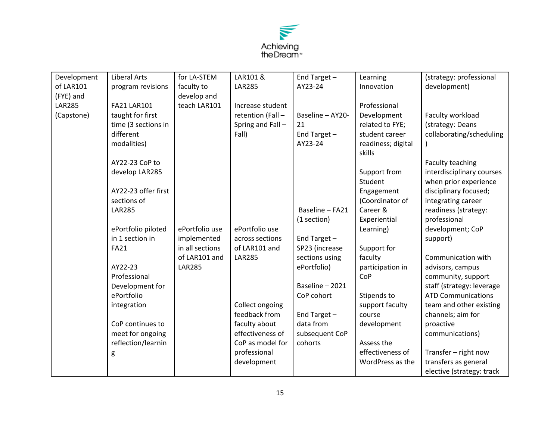

| Development   | <b>Liberal Arts</b> | for LA-STEM     | LAR101 &          | End Target $-$   | Learning           | (strategy: professional   |
|---------------|---------------------|-----------------|-------------------|------------------|--------------------|---------------------------|
| of LAR101     | program revisions   | faculty to      | <b>LAR285</b>     | AY23-24          | Innovation         | development)              |
| (FYE) and     |                     | develop and     |                   |                  |                    |                           |
| <b>LAR285</b> | <b>FA21 LAR101</b>  | teach LAR101    | Increase student  |                  | Professional       |                           |
| (Capstone)    | taught for first    |                 | retention (Fall - | Baseline - AY20- | Development        | Faculty workload          |
|               | time (3 sections in |                 | Spring and Fall-  | 21               | related to FYE;    | (strategy: Deans          |
|               | different           |                 | Fall)             | End Target-      | student career     | collaborating/scheduling  |
|               | modalities)         |                 |                   | AY23-24          | readiness; digital |                           |
|               |                     |                 |                   |                  | skills             |                           |
|               | AY22-23 CoP to      |                 |                   |                  |                    | Faculty teaching          |
|               | develop LAR285      |                 |                   |                  | Support from       | interdisciplinary courses |
|               |                     |                 |                   |                  | Student            | when prior experience     |
|               | AY22-23 offer first |                 |                   |                  | Engagement         | disciplinary focused;     |
|               | sections of         |                 |                   |                  | (Coordinator of    | integrating career        |
|               | <b>LAR285</b>       |                 |                   | Baseline - FA21  | Career &           | readiness (strategy:      |
|               |                     |                 |                   | (1 section)      | Experiential       | professional              |
|               | ePortfolio piloted  | ePortfolio use  | ePortfolio use    |                  | Learning)          | development; CoP          |
|               | in 1 section in     | implemented     | across sections   | End Target-      |                    | support)                  |
|               | <b>FA21</b>         | in all sections | of LAR101 and     | SP23 (increase   | Support for        |                           |
|               |                     | of LAR101 and   | <b>LAR285</b>     | sections using   | faculty            | Communication with        |
|               | AY22-23             | <b>LAR285</b>   |                   | ePortfolio)      | participation in   | advisors, campus          |
|               | Professional        |                 |                   |                  | CoP                | community, support        |
|               | Development for     |                 |                   | Baseline - 2021  |                    | staff (strategy: leverage |
|               | ePortfolio          |                 |                   | CoP cohort       | Stipends to        | <b>ATD Communications</b> |
|               | integration         |                 | Collect ongoing   |                  | support faculty    | team and other existing   |
|               |                     |                 | feedback from     | End Target-      | course             | channels; aim for         |
|               | CoP continues to    |                 | faculty about     | data from        | development        | proactive                 |
|               | meet for ongoing    |                 | effectiveness of  | subsequent CoP   |                    | communications)           |
|               | reflection/learnin  |                 | CoP as model for  | cohorts          | Assess the         |                           |
|               | g                   |                 | professional      |                  | effectiveness of   | Transfer - right now      |
|               |                     |                 | development       |                  | WordPress as the   | transfers as general      |
|               |                     |                 |                   |                  |                    | elective (strategy: track |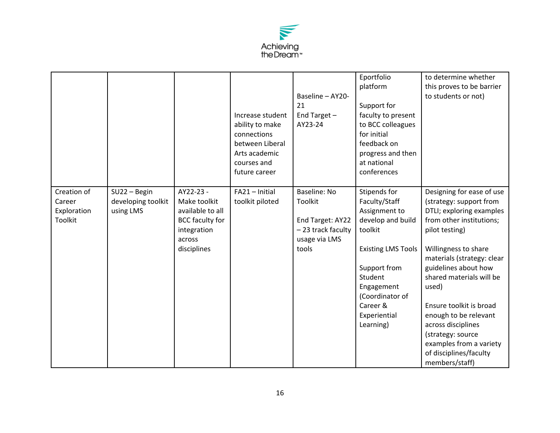

|                                                 |                                                  |                                                                                                                 | Increase student<br>ability to make<br>connections<br>between Liberal<br>Arts academic<br>courses and<br>future career | Baseline - AY20-<br>21<br>End Target $-$<br>AY23-24                                                | Eportfolio<br>platform<br>Support for<br>faculty to present<br>to BCC colleagues<br>for initial<br>feedback on<br>progress and then<br>at national<br>conferences                                                | to determine whether<br>this proves to be barrier<br>to students or not)                                                                                                                                                                                                                                                                                                                                                |
|-------------------------------------------------|--------------------------------------------------|-----------------------------------------------------------------------------------------------------------------|------------------------------------------------------------------------------------------------------------------------|----------------------------------------------------------------------------------------------------|------------------------------------------------------------------------------------------------------------------------------------------------------------------------------------------------------------------|-------------------------------------------------------------------------------------------------------------------------------------------------------------------------------------------------------------------------------------------------------------------------------------------------------------------------------------------------------------------------------------------------------------------------|
| Creation of<br>Career<br>Exploration<br>Toolkit | $SU2 - Begin$<br>developing toolkit<br>using LMS | AY22-23 -<br>Make toolkit<br>available to all<br><b>BCC faculty for</b><br>integration<br>across<br>disciplines | FA21 - Initial<br>toolkit piloted                                                                                      | <b>Baseline: No</b><br>Toolkit<br>End Target: AY22<br>- 23 track faculty<br>usage via LMS<br>tools | Stipends for<br>Faculty/Staff<br>Assignment to<br>develop and build<br>toolkit<br><b>Existing LMS Tools</b><br>Support from<br>Student<br>Engagement<br>(Coordinator of<br>Career &<br>Experiential<br>Learning) | Designing for ease of use<br>(strategy: support from<br>DTLI; exploring examples<br>from other institutions;<br>pilot testing)<br>Willingness to share<br>materials (strategy: clear<br>guidelines about how<br>shared materials will be<br>used)<br>Ensure toolkit is broad<br>enough to be relevant<br>across disciplines<br>(strategy: source<br>examples from a variety<br>of disciplines/faculty<br>members/staff) |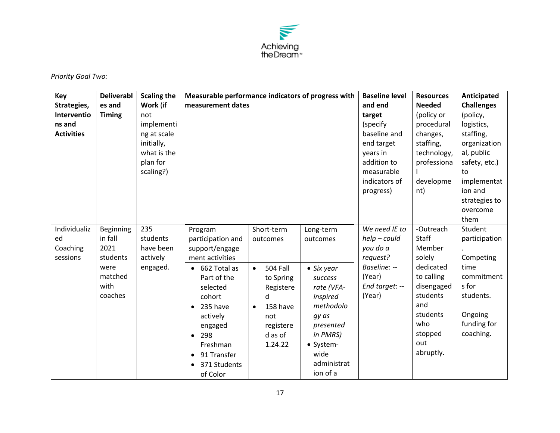

*Priority Goal Two:* 

| Key<br>Strategies,<br>Interventio<br>ns and<br><b>Activities</b> | <b>Deliverabl</b><br>es and<br><b>Timing</b>                                   | <b>Scaling the</b><br>Work (if<br>not<br>implementi<br>ng at scale<br>initially,<br>what is the<br>plan for<br>scaling?) | Measurable performance indicators of progress with<br>measurement dates                                                                                                                                                                           |                                                                                                                                             |                                                                                                                                                                                 | <b>Baseline level</b><br>and end<br>target<br>(specify<br>baseline and<br>end target<br>years in<br>addition to<br>measurable<br>indicators of<br>progress) | <b>Resources</b><br><b>Needed</b><br>(policy or<br>procedural<br>changes,<br>staffing,<br>technology,<br>professiona<br>developme<br>nt)                    | Anticipated<br><b>Challenges</b><br>(policy,<br>logistics,<br>staffing,<br>organization<br>al, public<br>safety, etc.)<br>to<br>implementat<br>ion and<br>strategies to<br>overcome<br>them |
|------------------------------------------------------------------|--------------------------------------------------------------------------------|--------------------------------------------------------------------------------------------------------------------------|---------------------------------------------------------------------------------------------------------------------------------------------------------------------------------------------------------------------------------------------------|---------------------------------------------------------------------------------------------------------------------------------------------|---------------------------------------------------------------------------------------------------------------------------------------------------------------------------------|-------------------------------------------------------------------------------------------------------------------------------------------------------------|-------------------------------------------------------------------------------------------------------------------------------------------------------------|---------------------------------------------------------------------------------------------------------------------------------------------------------------------------------------------|
| Individualiz<br>ed<br>Coaching<br>sessions                       | Beginning<br>in fall<br>2021<br>students<br>were<br>matched<br>with<br>coaches | 235<br>students<br>have been<br>actively<br>engaged.                                                                     | Program<br>participation and<br>support/engage<br>ment activities<br>662 Total as<br>$\bullet$<br>Part of the<br>selected<br>cohort<br>235 have<br>actively<br>engaged<br>298<br>$\bullet$<br>Freshman<br>91 Transfer<br>371 Students<br>of Color | Short-term<br>outcomes<br><b>504 Fall</b><br>$\bullet$<br>to Spring<br>Registere<br>d<br>158 have<br>not<br>registere<br>d as of<br>1.24.22 | Long-term<br>outcomes<br>$\bullet$ Six year<br>success<br>rate (VFA-<br>inspired<br>methodolo<br>gy as<br>presented<br>in PMRS)<br>• System-<br>wide<br>administrat<br>ion of a | We need IE to<br>$help$ - could<br>you do a<br>request?<br>Baseline: --<br>(Year)<br>End target: --<br>(Year)                                               | -Outreach<br><b>Staff</b><br>Member<br>solely<br>dedicated<br>to calling<br>disengaged<br>students<br>and<br>students<br>who<br>stopped<br>out<br>abruptly. | Student<br>participation<br>Competing<br>time<br>commitment<br>s for<br>students.<br>Ongoing<br>funding for<br>coaching.                                                                    |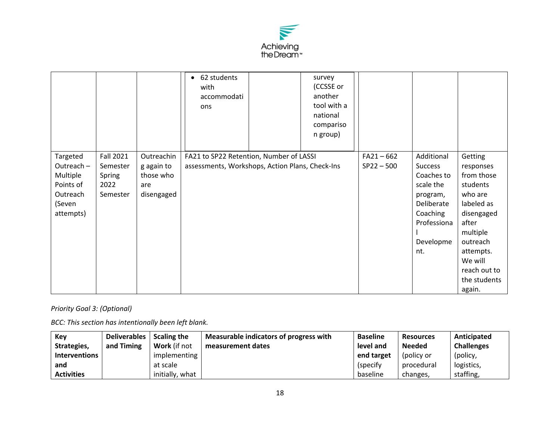

|                                                                                                                                                 |                                                            | 62 students<br>$\bullet$<br>with<br>accommodati<br>ons                                     | survey<br>(CCSSE or<br>another<br>tool with a<br>national<br>compariso<br>n group) |                              |                                                                                                                                  |                                                                                                                                                                                          |
|-------------------------------------------------------------------------------------------------------------------------------------------------|------------------------------------------------------------|--------------------------------------------------------------------------------------------|------------------------------------------------------------------------------------|------------------------------|----------------------------------------------------------------------------------------------------------------------------------|------------------------------------------------------------------------------------------------------------------------------------------------------------------------------------------|
| <b>Fall 2021</b><br>Targeted<br>Outreach-<br>Semester<br>Multiple<br>Spring<br>Points of<br>2022<br>Outreach<br>Semester<br>(Seven<br>attempts) | Outreachin<br>g again to<br>those who<br>are<br>disengaged | FA21 to SP22 Retention, Number of LASSI<br>assessments, Workshops, Action Plans, Check-Ins |                                                                                    | $FA21 - 662$<br>$SP22 - 500$ | Additional<br><b>Success</b><br>Coaches to<br>scale the<br>program,<br>Deliberate<br>Coaching<br>Professiona<br>Developme<br>nt. | Getting<br>responses<br>from those<br>students<br>who are<br>labeled as<br>disengaged<br>after<br>multiple<br>outreach<br>attempts.<br>We will<br>reach out to<br>the students<br>again. |

*Priority Goal 3: (Optional)* 

*BCC: This section has intentionally been left blank.* 

| Key               | Deliverables | <b>Scaling the</b> | Measurable indicators of progress with | <b>Baseline</b> | <b>Resources</b> | Anticipated       |
|-------------------|--------------|--------------------|----------------------------------------|-----------------|------------------|-------------------|
| Strategies,       | and Timing   | Work (if not       | measurement dates                      | level and       | <b>Needed</b>    | <b>Challenges</b> |
| Interventions     |              | implementing       |                                        | end target      | (policy or       | (policy,          |
| and               |              | at scale           |                                        | (specify)       | procedural       | logistics,        |
| <b>Activities</b> |              | initially, what    |                                        | baseline        | changes,         | staffing,         |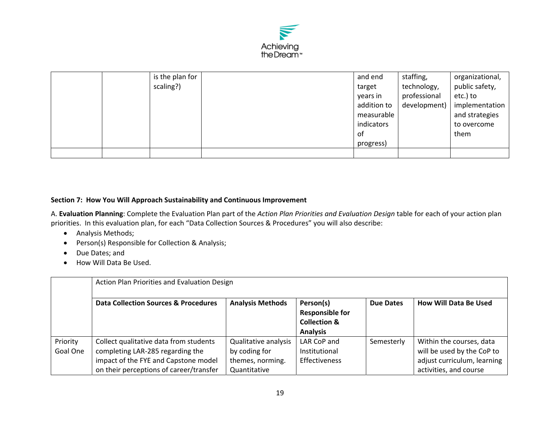

|  | is the plan for | and end     | staffing,    | organizational, |
|--|-----------------|-------------|--------------|-----------------|
|  | scaling?)       | target      | technology,  | public safety,  |
|  |                 | years in    | professional | etc.) to        |
|  |                 | addition to | development) | implementation  |
|  |                 | measurable  |              | and strategies  |
|  |                 | indicators  |              | to overcome     |
|  |                 | 0f          |              | them            |
|  |                 | progress)   |              |                 |
|  |                 |             |              |                 |

## **Section 7: How You Will Approach Sustainability and Continuous Improvement**

A. **Evaluation Planning**: Complete the Evaluation Plan part of the *Action Plan Priorities and Evaluation Design* table for each of your action plan priorities. In this evaluation plan, for each "Data Collection Sources & Procedures" you will also describe:

- Analysis Methods;
- Person(s) Responsible for Collection & Analysis;
- Due Dates; and
- How Will Data Be Used.

|                      | Action Plan Priorities and Evaluation Design                                                                                                                  |                                                                           |                                                                                   |                  |                                                                                                                 |  |  |  |
|----------------------|---------------------------------------------------------------------------------------------------------------------------------------------------------------|---------------------------------------------------------------------------|-----------------------------------------------------------------------------------|------------------|-----------------------------------------------------------------------------------------------------------------|--|--|--|
|                      | <b>Data Collection Sources &amp; Procedures</b>                                                                                                               | <b>Analysis Methods</b>                                                   | Person(s)<br><b>Responsible for</b><br><b>Collection &amp;</b><br><b>Analysis</b> | <b>Due Dates</b> | How Will Data Be Used                                                                                           |  |  |  |
| Priority<br>Goal One | Collect qualitative data from students<br>completing LAR-285 regarding the<br>impact of the FYE and Capstone model<br>on their perceptions of career/transfer | Qualitative analysis<br>by coding for<br>themes, norming.<br>Quantitative | LAR CoP and<br>Institutional<br>Effectiveness                                     | Semesterly       | Within the courses, data<br>will be used by the CoP to<br>adjust curriculum, learning<br>activities, and course |  |  |  |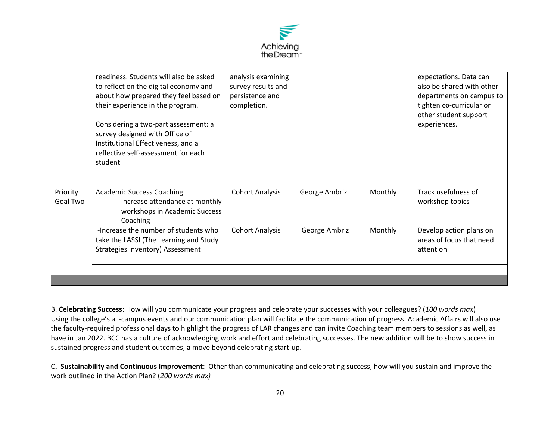

|          | readiness. Students will also be asked | analysis examining     |               |         | expectations. Data can    |
|----------|----------------------------------------|------------------------|---------------|---------|---------------------------|
|          | to reflect on the digital economy and  | survey results and     |               |         | also be shared with other |
|          | about how prepared they feel based on  | persistence and        |               |         | departments on campus to  |
|          | their experience in the program.       | completion.            |               |         | tighten co-curricular or  |
|          |                                        |                        |               |         | other student support     |
|          | Considering a two-part assessment: a   |                        |               |         | experiences.              |
|          | survey designed with Office of         |                        |               |         |                           |
|          | Institutional Effectiveness, and a     |                        |               |         |                           |
|          | reflective self-assessment for each    |                        |               |         |                           |
|          | student                                |                        |               |         |                           |
|          |                                        |                        |               |         |                           |
|          |                                        |                        |               |         |                           |
| Priority | <b>Academic Success Coaching</b>       | <b>Cohort Analysis</b> | George Ambriz | Monthly | Track usefulness of       |
| Goal Two | Increase attendance at monthly         |                        |               |         | workshop topics           |
|          | workshops in Academic Success          |                        |               |         |                           |
|          | Coaching                               |                        |               |         |                           |
|          | -Increase the number of students who   | <b>Cohort Analysis</b> | George Ambriz | Monthly | Develop action plans on   |
|          | take the LASSI (The Learning and Study |                        |               |         | areas of focus that need  |
|          | Strategies Inventory) Assessment       |                        |               |         | attention                 |
|          |                                        |                        |               |         |                           |
|          |                                        |                        |               |         |                           |
|          |                                        |                        |               |         |                           |

B. **Celebrating Success**: How will you communicate your progress and celebrate your successes with your colleagues? (*100 words max*) Using the college's all‐campus events and our communication plan will facilitate the communication of progress. Academic Affairs will also use the faculty‐required professional days to highlight the progress of LAR changes and can invite Coaching team members to sessions as well, as have in Jan 2022. BCC has a culture of acknowledging work and effort and celebrating successes. The new addition will be to show success in sustained progress and student outcomes, a move beyond celebrating start‐up.

C**. Sustainability and Continuous Improvement**: Other than communicating and celebrating success, how will you sustain and improve the work outlined in the Action Plan? (*200 words max)*